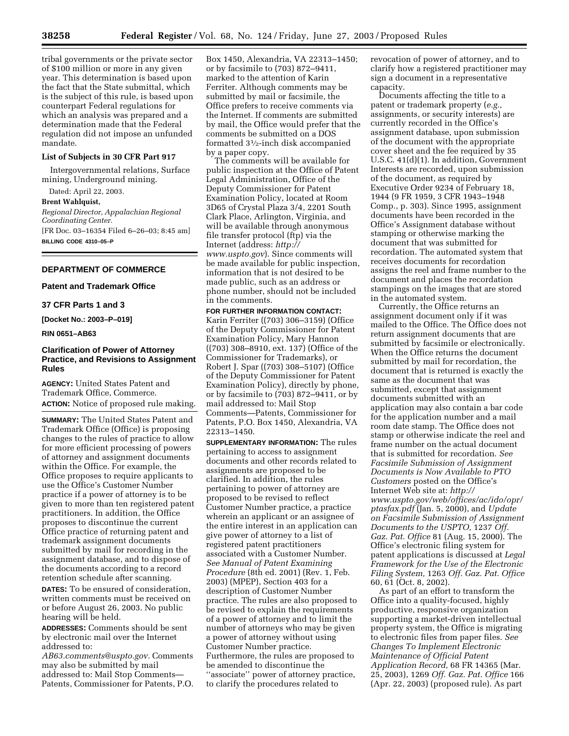tribal governments or the private sector of \$100 million or more in any given year. This determination is based upon the fact that the State submittal, which is the subject of this rule, is based upon counterpart Federal regulations for which an analysis was prepared and a determination made that the Federal regulation did not impose an unfunded mandate.

#### **List of Subjects in 30 CFR Part 917**

Intergovernmental relations, Surface mining, Underground mining.

Dated: April 22, 2003.

#### **Brent Wahlquist,**

*Regional Director, Appalachian Regional Coordinating Center.*  [FR Doc. 03–16354 Filed 6–26–03; 8:45 am] **BILLING CODE 4310–05–P** 

## **DEPARTMENT OF COMMERCE**

## **Patent and Trademark Office**

**37 CFR Parts 1 and 3** 

**[Docket No.: 2003–P–019]** 

#### **RIN 0651–AB63**

## **Clarification of Power of Attorney Practice, and Revisions to Assignment Rules**

**AGENCY:** United States Patent and Trademark Office, Commerce. **ACTION:** Notice of proposed rule making.

**SUMMARY:** The United States Patent and Trademark Office (Office) is proposing changes to the rules of practice to allow for more efficient processing of powers of attorney and assignment documents within the Office. For example, the Office proposes to require applicants to use the Office's Customer Number practice if a power of attorney is to be given to more than ten registered patent practitioners. In addition, the Office proposes to discontinue the current Office practice of returning patent and trademark assignment documents submitted by mail for recording in the assignment database, and to dispose of the documents according to a record retention schedule after scanning.

**DATES:** To be ensured of consideration, written comments must be received on or before August 26, 2003. No public hearing will be held.

**ADDRESSES:** Comments should be sent by electronic mail over the Internet addressed to:

*[AB63.comments@uspto.gov.](mailto:AB63.comments@uspto.gov)* Comments may also be submitted by mail addressed to: Mail Stop Comments— Patents, Commissioner for Patents, P.O.

Box 1450, Alexandria, VA 22313–1450; or by facsimile to (703) 872–9411, marked to the attention of Karin Ferriter. Although comments may be submitted by mail or facsimile, the Office prefers to receive comments via the Internet. If comments are submitted by mail, the Office would prefer that the comments be submitted on a DOS formatted 31⁄2-inch disk accompanied by a paper copy.

The comments will be available for public inspection at the Office of Patent Legal Administration, Office of the Deputy Commissioner for Patent Examination Policy, located at Room 3D65 of Crystal Plaza 3/4, 2201 South Clark Place, Arlington, Virginia, and will be available through anonymous file transfer protocol (ftp) via the Internet (address: *http:// www.uspto.gov*[\). Since comments will](http://www.uspto.gov)  be made available for public inspection, information that is not desired to be made public, such as an address or phone number, should not be included in the comments.

## **FOR FURTHER INFORMATION CONTACT:**

Karin Ferriter ((703) 306–3159) (Office of the Deputy Commissioner for Patent Examination Policy, Mary Hannon ((703) 308–8910, ext. 137) (Office of the Commissioner for Trademarks), or Robert J. Spar ((703) 308–5107) (Office of the Deputy Commissioner for Patent Examination Policy), directly by phone, or by facsimile to (703) 872–9411, or by mail addressed to: Mail Stop Comments—Patents, Commissioner for Patents, P.O. Box 1450, Alexandria, VA 22313–1450.

**SUPPLEMENTARY INFORMATION:** The rules pertaining to access to assignment documents and other records related to assignments are proposed to be clarified. In addition, the rules pertaining to power of attorney are proposed to be revised to reflect Customer Number practice, a practice wherein an applicant or an assignee of the entire interest in an application can give power of attorney to a list of registered patent practitioners associated with a Customer Number. *See Manual of Patent Examining Procedure* (8th ed. 2001) (Rev. 1, Feb. 2003) (MPEP), Section 403 for a description of Customer Number practice. The rules are also proposed to be revised to explain the requirements of a power of attorney and to limit the number of attorneys who may be given a power of attorney without using Customer Number practice. Furthermore, the rules are proposed to be amended to discontinue the ''associate'' power of attorney practice, to clarify the procedures related to

revocation of power of attorney, and to clarify how a registered practitioner may sign a document in a representative capacity.

Documents affecting the title to a patent or trademark property (*e.g.,*  assignments, or security interests) are currently recorded in the Office's assignment database, upon submission of the document with the appropriate cover sheet and the fee required by 35 U.S.C. 41(d)(1). In addition, Government Interests are recorded, upon submission of the document, as required by Executive Order 9234 of February 18, 1944 (9 FR 1959, 3 CFR 1943–1948 Comp., p. 303). Since 1995, assignment documents have been recorded in the Office's Assignment database without stamping or otherwise marking the document that was submitted for recordation. The automated system that receives documents for recordation assigns the reel and frame number to the document and places the recordation stampings on the images that are stored in the automated system.

Currently, the Office returns an assignment document only if it was mailed to the Office. The Office does not return assignment documents that are submitted by facsimile or electronically. When the Office returns the document submitted by mail for recordation, the document that is returned is exactly the same as the document that was submitted, except that assignment documents submitted with an application may also contain a bar code for the application number and a mail room date stamp. The Office does not stamp or otherwise indicate the reel and frame number on the actual document that is submitted for recordation. *See Facsimile Submission of Assignment Documents is Now Available to PTO Customers* posted on the Office's Internet Web site at: *http:// [www.uspto.gov/web/offices/ac/ido/opr/](http://www.uspto.gov/web/offices/ac/ido/opr/ptasfax.pdf)  ptasfax.pdf* (Jan. 5, 2000), and *Update on Facsimile Submission of Assignment Documents to the USPTO,* 1237 *Off. Gaz. Pat. Office* 81 (Aug. 15, 2000). The Office's electronic filing system for patent applications is discussed at *Legal Framework for the Use of the Electronic Filing System,* 1263 *Off. Gaz. Pat. Office*  60, 61 (Oct. 8, 2002).

As part of an effort to transform the Office into a quality-focused, highly productive, responsive organization supporting a market-driven intellectual property system, the Office is migrating to electronic files from paper files. *See Changes To Implement Electronic Maintenance of Official Patent Application Record,* 68 FR 14365 (Mar. 25, 2003), 1269 *Off. Gaz. Pat. Office* 166 (Apr. 22, 2003) (proposed rule). As part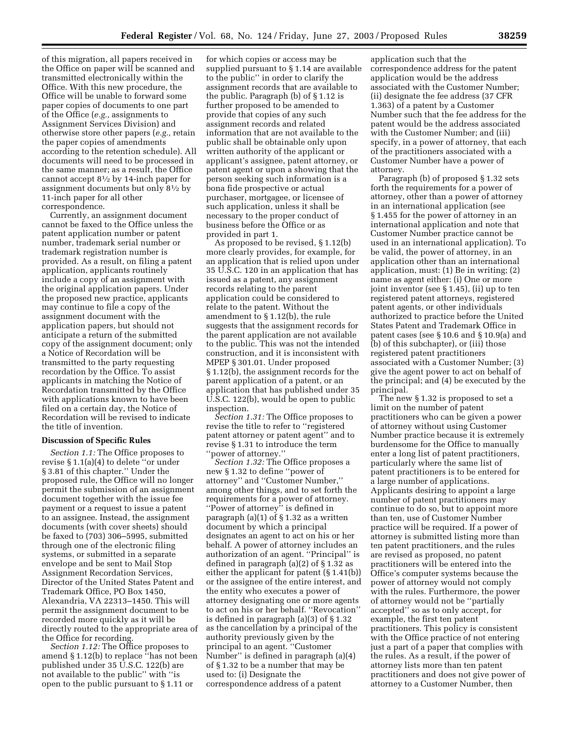of this migration, all papers received in the Office on paper will be scanned and transmitted electronically within the Office. With this new procedure, the Office will be unable to forward some paper copies of documents to one part of the Office (*e.g.,* assignments to Assignment Services Division) and otherwise store other papers (*e.g.,* retain the paper copies of amendments according to the retention schedule). All documents will need to be processed in the same manner; as a result, the Office cannot accept 81⁄2 by 14-inch paper for assignment documents but only 81⁄2 by 11-inch paper for all other correspondence.

Currently, an assignment document cannot be faxed to the Office unless the patent application number or patent number, trademark serial number or trademark registration number is provided. As a result, on filing a patent application, applicants routinely include a copy of an assignment with the original application papers. Under the proposed new practice, applicants may continue to file a copy of the assignment document with the application papers, but should not anticipate a return of the submitted copy of the assignment document; only a Notice of Recordation will be transmitted to the party requesting recordation by the Office. To assist applicants in matching the Notice of Recordation transmitted by the Office with applications known to have been filed on a certain day, the Notice of Recordation will be revised to indicate the title of invention.

### **Discussion of Specific Rules**

*Section 1.1:* The Office proposes to revise § 1.1(a)(4) to delete ''or under § 3.81 of this chapter.'' Under the proposed rule, the Office will no longer permit the submission of an assignment document together with the issue fee payment or a request to issue a patent to an assignee. Instead, the assignment documents (with cover sheets) should be faxed to (703) 306–5995, submitted through one of the electronic filing systems, or submitted in a separate envelope and be sent to Mail Stop Assignment Recordation Services, Director of the United States Patent and Trademark Office, PO Box 1450, Alexandria, VA 22313–1450. This will permit the assignment document to be recorded more quickly as it will be directly routed to the appropriate area of the Office for recording.

*Section 1.12:* The Office proposes to amend § 1.12(b) to replace ''has not been published under 35 U.S.C. 122(b) are not available to the public'' with ''is open to the public pursuant to § 1.11 or

for which copies or access may be supplied pursuant to § 1.14 are available to the public'' in order to clarify the assignment records that are available to the public. Paragraph (b) of § 1.12 is further proposed to be amended to provide that copies of any such assignment records and related information that are not available to the public shall be obtainable only upon written authority of the applicant or applicant's assignee, patent attorney, or patent agent or upon a showing that the person seeking such information is a bona fide prospective or actual purchaser, mortgagee, or licensee of such application, unless it shall be necessary to the proper conduct of business before the Office or as provided in part 1.

As proposed to be revised, § 1.12(b) more clearly provides, for example, for an application that is relied upon under 35 U.S.C. 120 in an application that has issued as a patent, any assignment records relating to the parent application could be considered to relate to the patent. Without the amendment to § 1.12(b), the rule suggests that the assignment records for the parent application are not available to the public. This was not the intended construction, and it is inconsistent with MPEP § 301.01. Under proposed § 1.12(b), the assignment records for the parent application of a patent, or an application that has published under 35 U.S.C. 122(b), would be open to public inspection.

*Section 1.31:* The Office proposes to revise the title to refer to ''registered patent attorney or patent agent'' and to revise § 1.31 to introduce the term ''power of attorney.''

*Section 1.32:* The Office proposes a new § 1.32 to define ''power of attorney'' and ''Customer Number,'' among other things, and to set forth the requirements for a power of attorney. ''Power of attorney'' is defined in paragraph (a)(1) of § 1.32 as a written document by which a principal designates an agent to act on his or her behalf. A power of attorney includes an authorization of an agent. ''Principal'' is defined in paragraph (a)(2) of § 1.32 as either the applicant for patent (§ 1.41(b)) or the assignee of the entire interest, and the entity who executes a power of attorney designating one or more agents to act on his or her behalf. ''Revocation'' is defined in paragraph (a)(3) of § 1.32 as the cancellation by a principal of the authority previously given by the principal to an agent. ''Customer Number'' is defined in paragraph (a)(4) of § 1.32 to be a number that may be used to: (i) Designate the correspondence address of a patent

application such that the correspondence address for the patent application would be the address associated with the Customer Number; (ii) designate the fee address (37 CFR 1.363) of a patent by a Customer Number such that the fee address for the patent would be the address associated with the Customer Number; and (iii) specify, in a power of attorney, that each of the practitioners associated with a Customer Number have a power of attorney.

Paragraph (b) of proposed § 1.32 sets forth the requirements for a power of attorney, other than a power of attorney in an international application (see § 1.455 for the power of attorney in an international application and note that Customer Number practice cannot be used in an international application). To be valid, the power of attorney, in an application other than an international application, must: (1) Be in writing; (2) name as agent either: (i) One or more joint inventor (see § 1.45), (ii) up to ten registered patent attorneys, registered patent agents, or other individuals authorized to practice before the United States Patent and Trademark Office in patent cases (see § 10.6 and § 10.9(a) and (b) of this subchapter), or (iii) those registered patent practitioners associated with a Customer Number; (3) give the agent power to act on behalf of the principal; and (4) be executed by the principal.

The new § 1.32 is proposed to set a limit on the number of patent practitioners who can be given a power of attorney without using Customer Number practice because it is extremely burdensome for the Office to manually enter a long list of patent practitioners, particularly where the same list of patent practitioners is to be entered for a large number of applications. Applicants desiring to appoint a large number of patent practitioners may continue to do so, but to appoint more than ten, use of Customer Number practice will be required. If a power of attorney is submitted listing more than ten patent practitioners, and the rules are revised as proposed, no patent practitioners will be entered into the Office's computer systems because the power of attorney would not comply with the rules. Furthermore, the power of attorney would not be ''partially accepted'' so as to only accept, for example, the first ten patent practitioners. This policy is consistent with the Office practice of not entering just a part of a paper that complies with the rules. As a result, if the power of attorney lists more than ten patent practitioners and does not give power of attorney to a Customer Number, then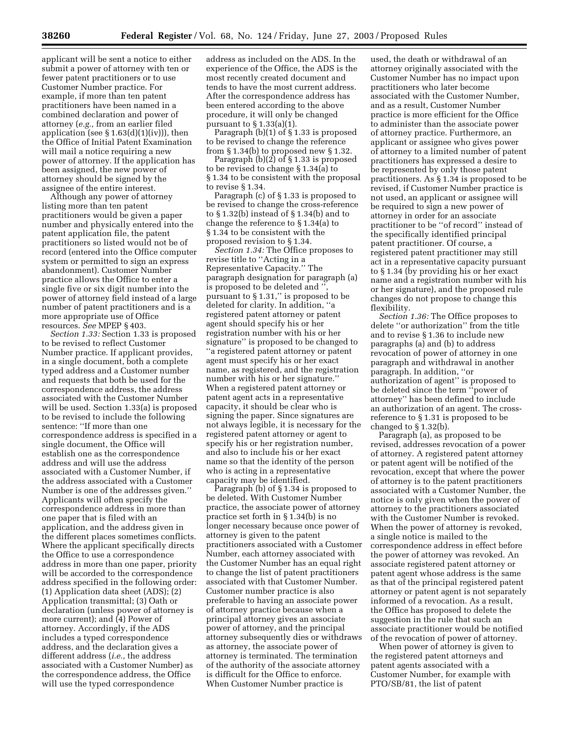applicant will be sent a notice to either submit a power of attorney with ten or fewer patent practitioners or to use Customer Number practice. For example, if more than ten patent practitioners have been named in a combined declaration and power of attorney (*e.g.,* from an earlier filed application (see  $\S 1.63(d)(1)(iv)$ ), then the Office of Initial Patent Examination will mail a notice requiring a new power of attorney. If the application has been assigned, the new power of attorney should be signed by the assignee of the entire interest.

Although any power of attorney listing more than ten patent practitioners would be given a paper number and physically entered into the patent application file, the patent practitioners so listed would not be of record (entered into the Office computer system or permitted to sign an express abandonment). Customer Number practice allows the Office to enter a single five or six digit number into the power of attorney field instead of a large number of patent practitioners and is a more appropriate use of Office resources. *See* MPEP § 403.

*Section 1.33:* Section 1.33 is proposed to be revised to reflect Customer Number practice. If applicant provides, in a single document, both a complete typed address and a Customer number and requests that both be used for the correspondence address, the address associated with the Customer Number will be used. Section 1.33(a) is proposed to be revised to include the following sentence: ''If more than one correspondence address is specified in a single document, the Office will establish one as the correspondence address and will use the address associated with a Customer Number, if the address associated with a Customer Number is one of the addresses given.'' Applicants will often specify the correspondence address in more than one paper that is filed with an application, and the address given in the different places sometimes conflicts. Where the applicant specifically directs the Office to use a correspondence address in more than one paper, priority will be accorded to the correspondence address specified in the following order: (1) Application data sheet (ADS); (2) Application transmittal; (3) Oath or declaration (unless power of attorney is more current); and (4) Power of attorney. Accordingly, if the ADS includes a typed correspondence address, and the declaration gives a different address (*i.e.,* the address associated with a Customer Number) as the correspondence address, the Office will use the typed correspondence

address as included on the ADS. In the experience of the Office, the ADS is the most recently created document and tends to have the most current address. After the correspondence address has been entered according to the above procedure, it will only be changed pursuant to § 1.33(a)(1).

Paragraph (b)(1) of § 1.33 is proposed to be revised to change the reference from § 1.34(b) to proposed new § 1.32.

Paragraph (b)(2) of § 1.33 is proposed to be revised to change § 1.34(a) to § 1.34 to be consistent with the proposal to revise § 1.34.

Paragraph (c) of § 1.33 is proposed to be revised to change the cross-reference to § 1.32(b) instead of § 1.34(b) and to change the reference to § 1.34(a) to § 1.34 to be consistent with the proposed revision to § 1.34.

*Section 1.34:* The Office proposes to revise title to ''Acting in a Representative Capacity.'' The paragraph designation for paragraph (a) is proposed to be deleted and " pursuant to § 1.31,'' is proposed to be deleted for clarity. In addition, ''a registered patent attorney or patent agent should specify his or her registration number with his or her signature'' is proposed to be changed to ''a registered patent attorney or patent agent must specify his or her exact name, as registered, and the registration number with his or her signature.'' When a registered patent attorney or patent agent acts in a representative capacity, it should be clear who is signing the paper. Since signatures are not always legible, it is necessary for the registered patent attorney or agent to specify his or her registration number, and also to include his or her exact name so that the identity of the person who is acting in a representative capacity may be identified.

Paragraph (b) of § 1.34 is proposed to be deleted. With Customer Number practice, the associate power of attorney practice set forth in § 1.34(b) is no longer necessary because once power of attorney is given to the patent practitioners associated with a Customer Number, each attorney associated with the Customer Number has an equal right to change the list of patent practitioners associated with that Customer Number. Customer number practice is also preferable to having an associate power of attorney practice because when a principal attorney gives an associate power of attorney, and the principal attorney subsequently dies or withdraws as attorney, the associate power of attorney is terminated. The termination of the authority of the associate attorney is difficult for the Office to enforce. When Customer Number practice is

used, the death or withdrawal of an attorney originally associated with the Customer Number has no impact upon practitioners who later become associated with the Customer Number, and as a result, Customer Number practice is more efficient for the Office to administer than the associate power of attorney practice. Furthermore, an applicant or assignee who gives power of attorney to a limited number of patent practitioners has expressed a desire to be represented by only those patent practitioners. As § 1.34 is proposed to be revised, if Customer Number practice is not used, an applicant or assignee will be required to sign a new power of attorney in order for an associate practitioner to be ''of record'' instead of the specifically identified principal patent practitioner. Of course, a registered patent practitioner may still act in a representative capacity pursuant to § 1.34 (by providing his or her exact name and a registration number with his or her signature), and the proposed rule changes do not propose to change this flexibility.

*Section 1.36:* The Office proposes to delete ''or authorization'' from the title and to revise § 1.36 to include new paragraphs (a) and (b) to address revocation of power of attorney in one paragraph and withdrawal in another paragraph. In addition, ''or authorization of agent'' is proposed to be deleted since the term ''power of attorney'' has been defined to include an authorization of an agent. The crossreference to § 1.31 is proposed to be changed to § 1.32(b).

Paragraph (a), as proposed to be revised, addresses revocation of a power of attorney. A registered patent attorney or patent agent will be notified of the revocation, except that where the power of attorney is to the patent practitioners associated with a Customer Number, the notice is only given when the power of attorney to the practitioners associated with the Customer Number is revoked. When the power of attorney is revoked, a single notice is mailed to the correspondence address in effect before the power of attorney was revoked. An associate registered patent attorney or patent agent whose address is the same as that of the principal registered patent attorney or patent agent is not separately informed of a revocation. As a result, the Office has proposed to delete the suggestion in the rule that such an associate practitioner would be notified of the revocation of power of attorney.

When power of attorney is given to the registered patent attorneys and patent agents associated with a Customer Number, for example with PTO/SB/81, the list of patent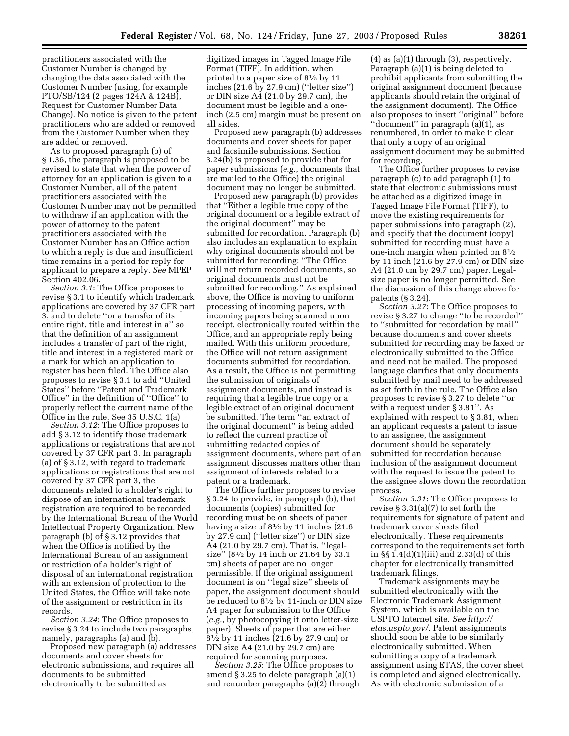practitioners associated with the Customer Number is changed by changing the data associated with the Customer Number (using, for example PTO/SB/124 (2 pages 124A & 124B), Request for Customer Number Data Change). No notice is given to the patent practitioners who are added or removed from the Customer Number when they are added or removed.

As to proposed paragraph (b) of § 1.36, the paragraph is proposed to be revised to state that when the power of attorney for an application is given to a Customer Number, all of the patent practitioners associated with the Customer Number may not be permitted to withdraw if an application with the power of attorney to the patent practitioners associated with the Customer Number has an Office action to which a reply is due and insufficient time remains in a period for reply for applicant to prepare a reply. *See* MPEP Section 402.06.

*Section 3.1*: The Office proposes to revise § 3.1 to identify which trademark applications are covered by 37 CFR part 3, and to delete ''or a transfer of its entire right, title and interest in a'' so that the definition of an assignment includes a transfer of part of the right, title and interest in a registered mark or a mark for which an application to register has been filed. The Office also proposes to revise § 3.1 to add ''United States'' before ''Patent and Trademark Office'' in the definition of ''Office'' to properly reflect the current name of the Office in the rule. See 35 U.S.C. 1(a).

*Section 3.12*: The Office proposes to add § 3.12 to identify those trademark applications or registrations that are not covered by 37 CFR part 3. In paragraph (a) of § 3.12, with regard to trademark applications or registrations that are not covered by 37 CFR part 3, the documents related to a holder's right to dispose of an international trademark registration are required to be recorded by the International Bureau of the World Intellectual Property Organization. New paragraph (b) of § 3.12 provides that when the Office is notified by the International Bureau of an assignment or restriction of a holder's right of disposal of an international registration with an extension of protection to the United States, the Office will take note of the assignment or restriction in its records.

*Section 3.24*: The Office proposes to revise § 3.24 to include two paragraphs, namely, paragraphs (a) and (b).

Proposed new paragraph (a) addresses documents and cover sheets for electronic submissions, and requires all documents to be submitted electronically to be submitted as

digitized images in Tagged Image File Format (TIFF). In addition, when printed to a paper size of 81⁄2 by 11 inches (21.6 by 27.9 cm) (''letter size'') or DIN size A4 (21.0 by 29.7 cm), the document must be legible and a oneinch (2.5 cm) margin must be present on all sides.

Proposed new paragraph (b) addresses documents and cover sheets for paper and facsimile submissions. Section 3.24(b) is proposed to provide that for paper submissions (*e.g.*, documents that are mailed to the Office) the original document may no longer be submitted.

Proposed new paragraph (b) provides that ''Either a legible true copy of the original document or a legible extract of the original document'' may be submitted for recordation. Paragraph (b) also includes an explanation to explain why original documents should not be submitted for recording: ''The Office will not return recorded documents, so original documents must not be submitted for recording.'' As explained above, the Office is moving to uniform processing of incoming papers, with incoming papers being scanned upon receipt, electronically routed within the Office, and an appropriate reply being mailed. With this uniform procedure, the Office will not return assignment documents submitted for recordation. As a result, the Office is not permitting the submission of originals of assignment documents, and instead is requiring that a legible true copy or a legible extract of an original document be submitted. The term ''an extract of the original document'' is being added to reflect the current practice of submitting redacted copies of assignment documents, where part of an assignment discusses matters other than assignment of interests related to a patent or a trademark.

The Office further proposes to revise § 3.24 to provide, in paragraph (b), that documents (copies) submitted for recording must be on sheets of paper having a size of 81⁄2 by 11 inches (21.6 by 27.9 cm) (''letter size'') or DIN size A4 (21.0 by 29.7 cm). That is, ''legalsize'' (81⁄2 by 14 inch or 21.64 by 33.1 cm) sheets of paper are no longer permissible. If the original assignment document is on ''legal size'' sheets of paper, the assignment document should be reduced to 81⁄2 by 11-inch or DIN size A4 paper for submission to the Office (*e.g.*, by photocopying it onto letter-size paper). Sheets of paper that are either 81⁄2 by 11 inches (21.6 by 27.9 cm) or DIN size A4 (21.0 by 29.7 cm) are required for scanning purposes.

*Section 3.25*: The Office proposes to amend § 3.25 to delete paragraph (a)(1) and renumber paragraphs (a)(2) through

(4) as (a)(1) through (3), respectively. Paragraph (a)(1) is being deleted to prohibit applicants from submitting the original assignment document (because applicants should retain the original of the assignment document). The Office also proposes to insert ''original'' before ''document'' in paragraph (a)(1), as renumbered, in order to make it clear that only a copy of an original assignment document may be submitted for recording.

The Office further proposes to revise paragraph (c) to add paragraph (1) to state that electronic submissions must be attached as a digitized image in Tagged Image File Format (TIFF), to move the existing requirements for paper submissions into paragraph (2), and specify that the document (copy) submitted for recording must have a one-inch margin when printed on 81⁄2 by 11 inch (21.6 by 27.9 cm) or DIN size A4 (21.0 cm by 29.7 cm) paper. Legalsize paper is no longer permitted. See the discussion of this change above for patents (§ 3.24).

*Section 3.27*: The Office proposes to revise § 3.27 to change ''to be recorded'' to ''submitted for recordation by mail'' because documents and cover sheets submitted for recording may be faxed or electronically submitted to the Office and need not be mailed. The proposed language clarifies that only documents submitted by mail need to be addressed as set forth in the rule. The Office also proposes to revise § 3.27 to delete ''or with a request under § 3.81''. As explained with respect to § 3.81, when an applicant requests a patent to issue to an assignee, the assignment document should be separately submitted for recordation because inclusion of the assignment document with the request to issue the patent to the assignee slows down the recordation process.

*Section 3.31*: The Office proposes to revise  $\S 3.31(a)(7)$  to set forth the requirements for signature of patent and trademark cover sheets filed electronically. These requirements correspond to the requirements set forth in §§ 1.4(d)(1)(iii) and 2.33(d) of this chapter for electronically transmitted trademark filings.

Trademark assignments may be submitted electronically with the Electronic Trademark Assignment System, which is available on the [USPTO Internet site.](http://etas.uspto.gov/) *See http:// etas.uspto.gov/*. Patent assignments should soon be able to be similarly electronically submitted. When submitting a copy of a trademark assignment using ETAS, the cover sheet is completed and signed electronically. As with electronic submission of a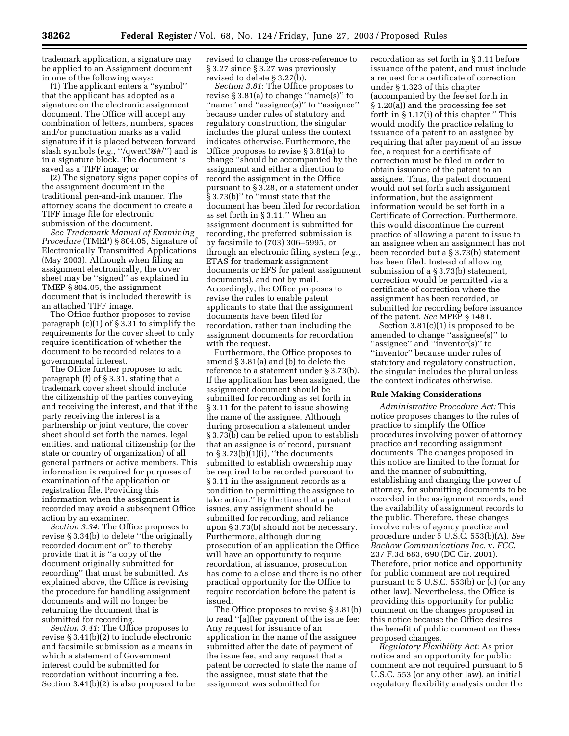trademark application, a signature may be applied to an Assignment document in one of the following ways:

(1) The applicant enters a ''symbol'' that the applicant has adopted as a signature on the electronic assignment document. The Office will accept any combination of letters, numbers, spaces and/or punctuation marks as a valid signature if it is placed between forward slash symbols (*e.g.*, ''/qwert!@#/'') and is in a signature block. The document is saved as a TIFF image; or

(2) The signatory signs paper copies of the assignment document in the traditional pen-and-ink manner. The attorney scans the document to create a TIFF image file for electronic submission of the document.

*See Trademark Manual of Examining Procedure* (TMEP) § 804.05, Signature of Electronically Transmitted Applications (May 2003). Although when filing an assignment electronically, the cover sheet may be ''signed'' as explained in TMEP § 804.05, the assignment document that is included therewith is an attached TIFF image.

The Office further proposes to revise paragraph (c)(1) of § 3.31 to simplify the requirements for the cover sheet to only require identification of whether the document to be recorded relates to a governmental interest.

The Office further proposes to add paragraph (f) of § 3.31, stating that a trademark cover sheet should include the citizenship of the parties conveying and receiving the interest, and that if the party receiving the interest is a partnership or joint venture, the cover sheet should set forth the names, legal entities, and national citizenship (or the state or country of organization) of all general partners or active members. This information is required for purposes of examination of the application or registration file. Providing this information when the assignment is recorded may avoid a subsequent Office action by an examiner.

*Section 3.34*: The Office proposes to revise § 3.34(b) to delete ''the originally recorded document or'' to thereby provide that it is ''a copy of the document originally submitted for recording'' that must be submitted. As explained above, the Office is revising the procedure for handling assignment documents and will no longer be returning the document that is submitted for recording.

*Section 3.41*: The Office proposes to revise § 3.41(b)(2) to include electronic and facsimile submission as a means in which a statement of Government interest could be submitted for recordation without incurring a fee. Section 3.41(b)(2) is also proposed to be revised to change the cross-reference to § 3.27 since § 3.27 was previously revised to delete § 3.27(b).

*Section 3.81*: The Office proposes to revise § 3.81(a) to change ''name(s)'' to ''name'' and ''assignee(s)'' to ''assignee'' because under rules of statutory and regulatory construction, the singular includes the plural unless the context indicates otherwise. Furthermore, the Office proposes to revise § 3.81(a) to change ''should be accompanied by the assignment and either a direction to record the assignment in the Office pursuant to § 3.28, or a statement under § 3.73(b)'' to ''must state that the document has been filed for recordation as set forth in § 3.11.'' When an assignment document is submitted for recording, the preferred submission is by facsimile to (703) 306–5995, or through an electronic filing system (*e.g.*, ETAS for trademark assignment documents or EFS for patent assignment documents), and not by mail. Accordingly, the Office proposes to revise the rules to enable patent applicants to state that the assignment documents have been filed for recordation, rather than including the assignment documents for recordation with the request.

Furthermore, the Office proposes to amend § 3.81(a) and (b) to delete the reference to a statement under § 3.73(b). If the application has been assigned, the assignment document should be submitted for recording as set forth in § 3.11 for the patent to issue showing the name of the assignee. Although during prosecution a statement under § 3.73(b) can be relied upon to establish that an assignee is of record, pursuant to  $\S 3.73(b)(1)(i)$ , "the documents" submitted to establish ownership may be required to be recorded pursuant to § 3.11 in the assignment records as a condition to permitting the assignee to take action.'' By the time that a patent issues, any assignment should be submitted for recording, and reliance upon § 3.73(b) should not be necessary. Furthermore, although during prosecution of an application the Office will have an opportunity to require recordation, at issuance, prosecution has come to a close and there is no other practical opportunity for the Office to require recordation before the patent is issued.

The Office proposes to revise § 3.81(b) to read ''[a]fter payment of the issue fee: Any request for issuance of an application in the name of the assignee submitted after the date of payment of the issue fee, and any request that a patent be corrected to state the name of the assignee, must state that the assignment was submitted for

recordation as set forth in § 3.11 before issuance of the patent, and must include a request for a certificate of correction under § 1.323 of this chapter (accompanied by the fee set forth in § 1.20(a)) and the processing fee set forth in § 1.17(i) of this chapter.'' This would modify the practice relating to issuance of a patent to an assignee by requiring that after payment of an issue fee, a request for a certificate of correction must be filed in order to obtain issuance of the patent to an assignee. Thus, the patent document would not set forth such assignment information, but the assignment information would be set forth in a Certificate of Correction. Furthermore, this would discontinue the current practice of allowing a patent to issue to an assignee when an assignment has not been recorded but a § 3.73(b) statement has been filed. Instead of allowing submission of a § 3.73(b) statement, correction would be permitted via a certificate of correction where the assignment has been recorded, or submitted for recording before issuance of the patent. *See* MPEP § 1481.

Section 3.81(c)(1) is proposed to be amended to change ''assignee(s)'' to "assignee" and "inventor(s)" to ''inventor'' because under rules of statutory and regulatory construction, the singular includes the plural unless the context indicates otherwise.

## **Rule Making Considerations**

*Administrative Procedure Act:* This notice proposes changes to the rules of practice to simplify the Office procedures involving power of attorney practice and recording assignment documents. The changes proposed in this notice are limited to the format for and the manner of submitting, establishing and changing the power of attorney, for submitting documents to be recorded in the assignment records, and the availability of assignment records to the public. Therefore, these changes involve rules of agency practice and procedure under 5 U.S.C. 553(b)(A). *See Bachow Communications Inc.* v. *FCC*, 237 F.3d 683, 690 (DC Cir. 2001). Therefore, prior notice and opportunity for public comment are not required pursuant to 5 U.S.C. 553(b) or  $(c)$  (or any other law). Nevertheless, the Office is providing this opportunity for public comment on the changes proposed in this notice because the Office desires the benefit of public comment on these proposed changes.

*Regulatory Flexibility Act*: As prior notice and an opportunity for public comment are not required pursuant to 5 U.S.C. 553 (or any other law), an initial regulatory flexibility analysis under the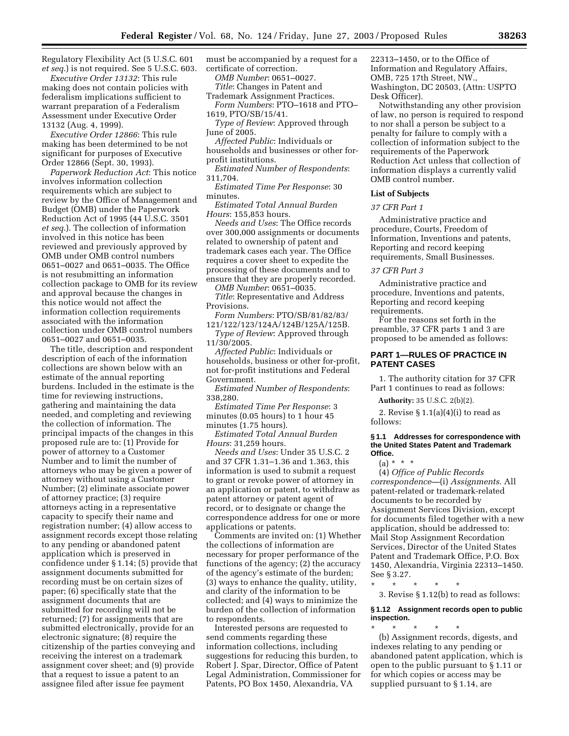Regulatory Flexibility Act (5 U.S.C. 601 *et seq.*) is not required. See 5 U.S.C. 603.

*Executive Order 13132*: This rule making does not contain policies with federalism implications sufficient to warrant preparation of a Federalism Assessment under Executive Order 13132 (Aug. 4, 1999).

*Executive Order 12866*: This rule making has been determined to be not significant for purposes of Executive Order 12866 (Sept. 30, 1993).

*Paperwork Reduction Act*: This notice involves information collection requirements which are subject to review by the Office of Management and Budget (OMB) under the Paperwork Reduction Act of 1995 (44 U.S.C. 3501 *et seq.*). The collection of information involved in this notice has been reviewed and previously approved by OMB under OMB control numbers 0651–0027 and 0651–0035. The Office is not resubmitting an information collection package to OMB for its review and approval because the changes in this notice would not affect the information collection requirements associated with the information collection under OMB control numbers 0651–0027 and 0651–0035.

The title, description and respondent description of each of the information collections are shown below with an estimate of the annual reporting burdens. Included in the estimate is the time for reviewing instructions, gathering and maintaining the data needed, and completing and reviewing the collection of information. The principal impacts of the changes in this proposed rule are to: (1) Provide for power of attorney to a Customer Number and to limit the number of attorneys who may be given a power of attorney without using a Customer Number; (2) eliminate associate power of attorney practice; (3) require attorneys acting in a representative capacity to specify their name and registration number; (4) allow access to assignment records except those relating to any pending or abandoned patent application which is preserved in confidence under § 1.14; (5) provide that assignment documents submitted for recording must be on certain sizes of paper; (6) specifically state that the assignment documents that are submitted for recording will not be returned; (7) for assignments that are submitted electronically, provide for an electronic signature; (8) require the citizenship of the parties conveying and receiving the interest on a trademark assignment cover sheet; and (9) provide that a request to issue a patent to an assignee filed after issue fee payment

must be accompanied by a request for a certificate of correction.

*OMB Number*: 0651–0027.

*Title*: Changes in Patent and

Trademark Assignment Practices. *Form Numbers*: PTO–1618 and PTO– 1619, PTO/SB/15/41.

*Type of Review*: Approved through

June of 2005.

*Affected Public*: Individuals or households and businesses or other forprofit institutions.

*Estimated Number of Respondents*: 311,704.

*Estimated Time Per Response*: 30 minutes.

*Estimated Total Annual Burden Hours*: 155,853 hours.

*Needs and Uses*: The Office records over 300,000 assignments or documents related to ownership of patent and trademark cases each year. The Office requires a cover sheet to expedite the processing of these documents and to ensure that they are properly recorded.

*OMB Number*: 0651–0035.

*Title*: Representative and Address Provisions.

*Form Numbers*: PTO/SB/81/82/83/ 121/122/123/124A/124B/125A/125B.

*Type of Review*: Approved through 11/30/2005.

*Affected Public*: Individuals or households, business or other for-profit, not for-profit institutions and Federal Government.

*Estimated Number of Respondents*: 338,280.

*Estimated Time Per Response*: 3 minutes (0.05 hours) to 1 hour 45 minutes (1.75 hours).

*Estimated Total Annual Burden Hours*: 31,259 hours.

*Needs and Uses*: Under 35 U.S.C. 2 and 37 CFR 1.31–1.36 and 1.363, this information is used to submit a request to grant or revoke power of attorney in an application or patent, to withdraw as patent attorney or patent agent of record, or to designate or change the correspondence address for one or more applications or patents.

Comments are invited on: (1) Whether the collections of information are necessary for proper performance of the functions of the agency; (2) the accuracy of the agency's estimate of the burden; (3) ways to enhance the quality, utility, and clarity of the information to be collected; and (4) ways to minimize the burden of the collection of information to respondents.

Interested persons are requested to send comments regarding these information collections, including suggestions for reducing this burden, to Robert J. Spar, Director, Office of Patent Legal Administration, Commissioner for Patents, PO Box 1450, Alexandria, VA

22313–1450, or to the Office of Information and Regulatory Affairs, OMB, 725 17th Street, NW., Washington, DC 20503, (Attn: USPTO Desk Officer).

Notwithstanding any other provision of law, no person is required to respond to nor shall a person be subject to a penalty for failure to comply with a collection of information subject to the requirements of the Paperwork Reduction Act unless that collection of information displays a currently valid OMB control number.

### **List of Subjects**

## *37 CFR Part 1*

Administrative practice and procedure, Courts, Freedom of Information, Inventions and patents, Reporting and record keeping requirements, Small Businesses.

#### *37 CFR Part 3*

Administrative practice and procedure, Inventions and patents, Reporting and record keeping requirements.

For the reasons set forth in the preamble, 37 CFR parts 1 and 3 are proposed to be amended as follows:

## **PART 1—RULES OF PRACTICE IN PATENT CASES**

1. The authority citation for 37 CFR Part 1 continues to read as follows:

**Authority:** 35 U.S.C. 2(b)(2).

2. Revise  $\S 1.1(a)(4)(i)$  to read as follows:

#### **§ 1.1 Addresses for correspondence with the United States Patent and Trademark Office.**

 $(a) * * * *$ 

(4) *Office of Public Records correspondence—*(i) *Assignments*. All patent-related or trademark-related documents to be recorded by Assignment Services Division, except for documents filed together with a new application, should be addressed to: Mail Stop Assignment Recordation Services, Director of the United States Patent and Trademark Office, P.O. Box 1450, Alexandria, Virginia 22313–1450. See § 3.27.

\* \* \* \* \* 3. Revise § 1.12(b) to read as follows:

# **§ 1.12 Assignment records open to public inspection.**

\* \* \* \* \* (b) Assignment records, digests, and indexes relating to any pending or abandoned patent application, which is open to the public pursuant to § 1.11 or for which copies or access may be supplied pursuant to § 1.14, are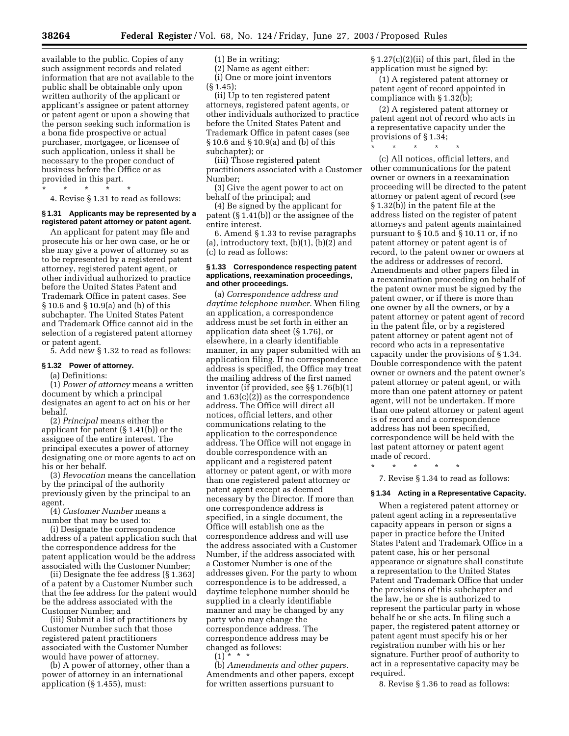available to the public. Copies of any such assignment records and related information that are not available to the public shall be obtainable only upon written authority of the applicant or applicant's assignee or patent attorney or patent agent or upon a showing that the person seeking such information is a bona fide prospective or actual purchaser, mortgagee, or licensee of such application, unless it shall be necessary to the proper conduct of business before the Office or as provided in this part.

\* \* \* \* \*

4. Revise § 1.31 to read as follows:

# **§ 1.31 Applicants may be represented by a registered patent attorney or patent agent.**

An applicant for patent may file and prosecute his or her own case, or he or she may give a power of attorney so as to be represented by a registered patent attorney, registered patent agent, or other individual authorized to practice before the United States Patent and Trademark Office in patent cases. See § 10.6 and § 10.9(a) and (b) of this subchapter. The United States Patent and Trademark Office cannot aid in the selection of a registered patent attorney or patent agent.

5. Add new § 1.32 to read as follows:

#### **§ 1.32 Power of attorney.**

#### (a) Definitions:

(1) *Power of attorney* means a written document by which a principal designates an agent to act on his or her behalf.

(2) *Principal* means either the applicant for patent (§ 1.41(b)) or the assignee of the entire interest. The principal executes a power of attorney designating one or more agents to act on his or her behalf.

(3) *Revocation* means the cancellation by the principal of the authority previously given by the principal to an agent.

(4) *Customer Number* means a number that may be used to:

(i) Designate the correspondence address of a patent application such that the correspondence address for the patent application would be the address associated with the Customer Number;

(ii) Designate the fee address (§ 1.363) of a patent by a Customer Number such that the fee address for the patent would be the address associated with the Customer Number; and

(iii) Submit a list of practitioners by Customer Number such that those registered patent practitioners associated with the Customer Number would have power of attorney.

(b) A power of attorney, other than a power of attorney in an international application (§ 1.455), must:

(1) Be in writing;

(2) Name as agent either: (i) One or more joint inventors

(§ 1.45);

(ii) Up to ten registered patent attorneys, registered patent agents, or other individuals authorized to practice before the United States Patent and Trademark Office in patent cases (see § 10.6 and § 10.9(a) and (b) of this subchapter); or

(iii) Those registered patent practitioners associated with a Customer Number;

(3) Give the agent power to act on behalf of the principal; and

(4) Be signed by the applicant for patent (§ 1.41(b)) or the assignee of the entire interest.

6. Amend § 1.33 to revise paragraphs (a), introductory text,  $(b)(1)$ ,  $(b)(2)$  and (c) to read as follows:

### **§ 1.33 Correspondence respecting patent applications, reexamination proceedings, and other proceedings.**

(a) *Correspondence address and daytime telephone number.* When filing an application, a correspondence address must be set forth in either an application data sheet (§ 1.76), or elsewhere, in a clearly identifiable manner, in any paper submitted with an application filing. If no correspondence address is specified, the Office may treat the mailing address of the first named inventor (if provided, see §§ 1.76(b)(1) and 1.63(c)(2)) as the correspondence address. The Office will direct all notices, official letters, and other communications relating to the application to the correspondence address. The Office will not engage in double correspondence with an applicant and a registered patent attorney or patent agent, or with more than one registered patent attorney or patent agent except as deemed necessary by the Director. If more than one correspondence address is specified, in a single document, the Office will establish one as the correspondence address and will use the address associated with a Customer Number, if the address associated with a Customer Number is one of the addresses given. For the party to whom correspondence is to be addressed, a daytime telephone number should be supplied in a clearly identifiable manner and may be changed by any party who may change the correspondence address. The correspondence address may be changed as follows:

 $(1) * * * *$ 

(b) *Amendments and other papers.*  Amendments and other papers, except for written assertions pursuant to

§ 1.27(c)(2)(ii) of this part, filed in the application must be signed by:

(1) A registered patent attorney or patent agent of record appointed in compliance with § 1.32(b);

(2) A registered patent attorney or patent agent not of record who acts in a representative capacity under the provisions of § 1.34;

\* \* \* \* \*

(c) All notices, official letters, and other communications for the patent owner or owners in a reexamination proceeding will be directed to the patent attorney or patent agent of record (see § 1.32(b)) in the patent file at the address listed on the register of patent attorneys and patent agents maintained pursuant to § 10.5 and § 10.11 or, if no patent attorney or patent agent is of record, to the patent owner or owners at the address or addresses of record. Amendments and other papers filed in a reexamination proceeding on behalf of the patent owner must be signed by the patent owner, or if there is more than one owner by all the owners, or by a patent attorney or patent agent of record in the patent file, or by a registered patent attorney or patent agent not of record who acts in a representative capacity under the provisions of § 1.34. Double correspondence with the patent owner or owners and the patent owner's patent attorney or patent agent, or with more than one patent attorney or patent agent, will not be undertaken. If more than one patent attorney or patent agent is of record and a correspondence address has not been specified, correspondence will be held with the last patent attorney or patent agent made of record.

\* \* \* \* \*

7. Revise § 1.34 to read as follows:

#### **§ 1.34 Acting in a Representative Capacity.**

When a registered patent attorney or patent agent acting in a representative capacity appears in person or signs a paper in practice before the United States Patent and Trademark Office in a patent case, his or her personal appearance or signature shall constitute a representation to the United States Patent and Trademark Office that under the provisions of this subchapter and the law, he or she is authorized to represent the particular party in whose behalf he or she acts. In filing such a paper, the registered patent attorney or patent agent must specify his or her registration number with his or her signature. Further proof of authority to act in a representative capacity may be required.

8. Revise § 1.36 to read as follows: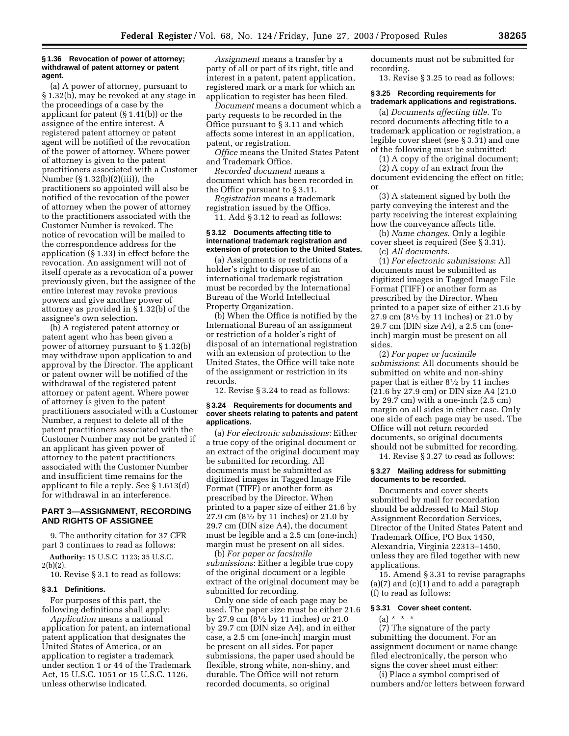#### **§ 1.36 Revocation of power of attorney; withdrawal of patent attorney or patent agent.**

(a) A power of attorney, pursuant to § 1.32(b), may be revoked at any stage in the proceedings of a case by the applicant for patent (§ 1.41(b)) or the assignee of the entire interest. A registered patent attorney or patent agent will be notified of the revocation of the power of attorney. Where power of attorney is given to the patent practitioners associated with a Customer Number (§ 1.32(b)(2)(iii)), the practitioners so appointed will also be notified of the revocation of the power of attorney when the power of attorney to the practitioners associated with the Customer Number is revoked. The notice of revocation will be mailed to the correspondence address for the application (§ 1.33) in effect before the revocation. An assignment will not of itself operate as a revocation of a power previously given, but the assignee of the entire interest may revoke previous powers and give another power of attorney as provided in § 1.32(b) of the assignee's own selection.

(b) A registered patent attorney or patent agent who has been given a power of attorney pursuant to § 1.32(b) may withdraw upon application to and approval by the Director. The applicant or patent owner will be notified of the withdrawal of the registered patent attorney or patent agent. Where power of attorney is given to the patent practitioners associated with a Customer Number, a request to delete all of the patent practitioners associated with the Customer Number may not be granted if an applicant has given power of attorney to the patent practitioners associated with the Customer Number and insufficient time remains for the applicant to file a reply. See § 1.613(d) for withdrawal in an interference.

## **PART 3—ASSIGNMENT, RECORDING AND RIGHTS OF ASSIGNEE**

9. The authority citation for 37 CFR part 3 continues to read as follows:

**Authority:** 15 U.S.C. 1123; 35 U.S.C. 2(b)(2).

10. Revise § 3.1 to read as follows:

#### **§ 3.1 Definitions.**

For purposes of this part, the following definitions shall apply:

*Application* means a national application for patent, an international patent application that designates the United States of America, or an application to register a trademark under section 1 or 44 of the Trademark Act, 15 U.S.C. 1051 or 15 U.S.C. 1126, unless otherwise indicated.

*Assignment* means a transfer by a party of all or part of its right, title and interest in a patent, patent application, registered mark or a mark for which an application to register has been filed.

*Document* means a document which a party requests to be recorded in the Office pursuant to § 3.11 and which affects some interest in an application, patent, or registration.

*Office* means the United States Patent and Trademark Office.

*Recorded document* means a document which has been recorded in the Office pursuant to § 3.11.

*Registration* means a trademark registration issued by the Office.

11. Add § 3.12 to read as follows:

#### **§ 3.12 Documents affecting title to international trademark registration and extension of protection to the United States.**

(a) Assignments or restrictions of a holder's right to dispose of an international trademark registration must be recorded by the International Bureau of the World Intellectual Property Organization.

(b) When the Office is notified by the International Bureau of an assignment or restriction of a holder's right of disposal of an international registration with an extension of protection to the United States, the Office will take note of the assignment or restriction in its records.

12. Revise § 3.24 to read as follows:

### **§ 3.24 Requirements for documents and cover sheets relating to patents and patent applications.**

(a) *For electronic submissions:* Either a true copy of the original document or an extract of the original document may be submitted for recording. All documents must be submitted as digitized images in Tagged Image File Format (TIFF) or another form as prescribed by the Director. When printed to a paper size of either 21.6 by 27.9 cm (81⁄2 by 11 inches) or 21.0 by 29.7 cm (DIN size A4), the document must be legible and a 2.5 cm (one-inch) margin must be present on all sides.

(b) *For paper or facsimile submissions*: Either a legible true copy of the original document or a legible extract of the original document may be submitted for recording.

Only one side of each page may be used. The paper size must be either 21.6 by 27.9 cm (81⁄2 by 11 inches) or 21.0 by 29.7 cm (DIN size A4), and in either case, a 2.5 cm (one-inch) margin must be present on all sides. For paper submissions, the paper used should be flexible, strong white, non-shiny, and durable. The Office will not return recorded documents, so original

documents must not be submitted for recording.

13. Revise § 3.25 to read as follows:

### **§ 3.25 Recording requirements for trademark applications and registrations.**

(a) *Documents affecting title*. To record documents affecting title to a trademark application or registration, a legible cover sheet (see § 3.31) and one of the following must be submitted:

(1) A copy of the original document;

(2) A copy of an extract from the document evidencing the effect on title; or

(3) A statement signed by both the party conveying the interest and the party receiving the interest explaining how the conveyance affects title.

(b) *Name changes*. Only a legible cover sheet is required (See § 3.31). (c) *All documents*.

(1) *For electronic submissions*: All documents must be submitted as digitized images in Tagged Image File Format (TIFF) or another form as prescribed by the Director. When printed to a paper size of either 21.6 by 27.9 cm (81⁄2 by 11 inches) or 21.0 by 29.7 cm (DIN size A4), a 2.5 cm (oneinch) margin must be present on all sides.

(2) *For paper or facsimile submissions*: All documents should be submitted on white and non-shiny paper that is either 81⁄2 by 11 inches (21.6 by 27.9 cm) or DIN size A4 (21.0 by 29.7 cm) with a one-inch (2.5 cm) margin on all sides in either case. Only one side of each page may be used. The Office will not return recorded documents, so original documents should not be submitted for recording.

14. Revise § 3.27 to read as follows:

#### **§ 3.27 Mailing address for submitting documents to be recorded.**

Documents and cover sheets submitted by mail for recordation should be addressed to Mail Stop Assignment Recordation Services, Director of the United States Patent and Trademark Office, PO Box 1450, Alexandria, Virginia 22313–1450, unless they are filed together with new applications.

15. Amend § 3.31 to revise paragraphs  $(a)(7)$  and  $(c)(1)$  and to add a paragraph (f) to read as follows:

## **§ 3.31 Cover sheet content.**

 $(a) * * * *$ 

(7) The signature of the party submitting the document. For an assignment document or name change filed electronically, the person who signs the cover sheet must either:

(i) Place a symbol comprised of numbers and/or letters between forward